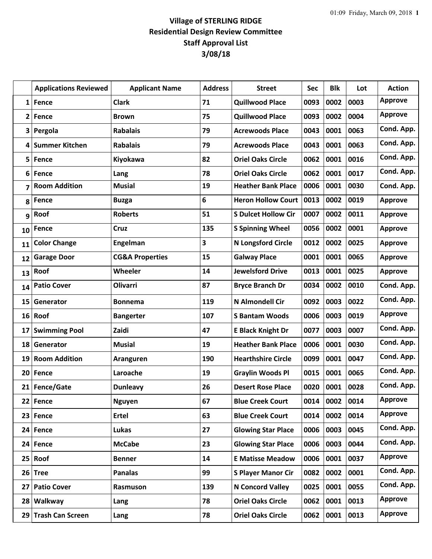## **Village of STERLING RIDGE Residential Design Review Committee Staff Approval List 3/08/18**

|                 | <b>Applications Reviewed</b> | <b>Applicant Name</b>      | <b>Address</b>          | <b>Street</b>              | <b>Sec</b> | <b>Blk</b> | Lot  | <b>Action</b>  |
|-----------------|------------------------------|----------------------------|-------------------------|----------------------------|------------|------------|------|----------------|
| $\mathbf{1}$    | Fence                        | <b>Clark</b>               | 71                      | <b>Quillwood Place</b>     | 0093       | 0002       | 0003 | <b>Approve</b> |
| $\overline{2}$  | Fence                        | <b>Brown</b>               | 75                      | <b>Quillwood Place</b>     | 0093       | 0002       | 0004 | <b>Approve</b> |
| 3               | Pergola                      | <b>Rabalais</b>            | 79                      | <b>Acrewoods Place</b>     | 0043       | 0001       | 0063 | Cond. App.     |
| 4               | <b>Summer Kitchen</b>        | <b>Rabalais</b>            | 79                      | <b>Acrewoods Place</b>     | 0043       | 0001       | 0063 | Cond. App.     |
| 5               | Fence                        | Kiyokawa                   | 82                      | <b>Oriel Oaks Circle</b>   | 0062       | 0001       | 0016 | Cond. App.     |
| 6               | <b>Fence</b>                 | Lang                       | 78                      | <b>Oriel Oaks Circle</b>   | 0062       | 0001       | 0017 | Cond. App.     |
| 7               | <b>Room Addition</b>         | <b>Musial</b>              | 19                      | <b>Heather Bank Place</b>  | 0006       | 0001       | 0030 | Cond. App.     |
| 8               | Fence                        | <b>Buzga</b>               | 6                       | <b>Heron Hollow Court</b>  | 0013       | 0002       | 0019 | <b>Approve</b> |
| 9               | Roof                         | <b>Roberts</b>             | 51                      | <b>S Dulcet Hollow Cir</b> | 0007       | 0002       | 0011 | <b>Approve</b> |
| 10              | Fence                        | Cruz                       | 135                     | <b>S Spinning Wheel</b>    | 0056       | 0002       | 0001 | <b>Approve</b> |
| 11              | <b>Color Change</b>          | Engelman                   | $\overline{\mathbf{3}}$ | <b>N Longsford Circle</b>  | 0012       | 0002       | 0025 | Approve        |
| 12              | <b>Garage Door</b>           | <b>CG&amp;A Properties</b> | 15                      | <b>Galway Place</b>        | 0001       | 0001       | 0065 | <b>Approve</b> |
| 13              | Roof                         | Wheeler                    | 14                      | <b>Jewelsford Drive</b>    | 0013       | 0001       | 0025 | <b>Approve</b> |
| 14              | <b>Patio Cover</b>           | <b>Olivarri</b>            | 87                      | <b>Bryce Branch Dr</b>     | 0034       | 0002       | 0010 | Cond. App.     |
| 15              | Generator                    | <b>Bonnema</b>             | 119                     | N Almondell Cir            | 0092       | 0003       | 0022 | Cond. App.     |
| 16              | Roof                         | <b>Bangerter</b>           | 107                     | <b>S Bantam Woods</b>      | 0006       | 0003       | 0019 | <b>Approve</b> |
| 17              | <b>Swimming Pool</b>         | Zaidi                      | 47                      | <b>E Black Knight Dr</b>   | 0077       | 0003       | 0007 | Cond. App.     |
| 18              | Generator                    | <b>Musial</b>              | 19                      | <b>Heather Bank Place</b>  | 0006       | 0001       | 0030 | Cond. App.     |
| 19              | <b>Room Addition</b>         | Aranguren                  | 190                     | <b>Hearthshire Circle</b>  | 0099       | 0001       | 0047 | Cond. App.     |
| 20              | Fence                        | Laroache                   | 19                      | <b>Graylin Woods Pl</b>    | 0015       | 0001       | 0065 | Cond. App.     |
| 21 <sub>1</sub> | Fence/Gate                   | <b>Dunleavy</b>            | 26                      | <b>Desert Rose Place</b>   | 0020       | 0001       | 0028 | Cond. App.     |
|                 | 22 Fence                     | <b>Nguyen</b>              | 67                      | <b>Blue Creek Court</b>    | 0014       | 0002       | 0014 | <b>Approve</b> |
| 23              | Fence                        | Ertel                      | 63                      | <b>Blue Creek Court</b>    | 0014       | 0002       | 0014 | <b>Approve</b> |
|                 | 24 Fence                     | Lukas                      | 27                      | <b>Glowing Star Place</b>  | 0006       | 0003       | 0045 | Cond. App.     |
|                 | 24 Fence                     | <b>McCabe</b>              | 23                      | <b>Glowing Star Place</b>  | 0006       | 0003       | 0044 | Cond. App.     |
| 25 <sub>1</sub> | Roof                         | <b>Benner</b>              | 14                      | <b>E Matisse Meadow</b>    | 0006       | 0001       | 0037 | <b>Approve</b> |
| 26              | <b>Tree</b>                  | <b>Panalas</b>             | 99                      | <b>S Player Manor Cir</b>  | 0082       | 0002       | 0001 | Cond. App.     |
| 27              | <b>Patio Cover</b>           | Rasmuson                   | 139                     | <b>N Concord Valley</b>    | 0025       | 0001       | 0055 | Cond. App.     |
| 28              | Walkway                      | Lang                       | 78                      | <b>Oriel Oaks Circle</b>   | 0062       | 0001       | 0013 | <b>Approve</b> |
| 29              | <b>Trash Can Screen</b>      | Lang                       | 78                      | <b>Oriel Oaks Circle</b>   | 0062       | 0001       | 0013 | <b>Approve</b> |